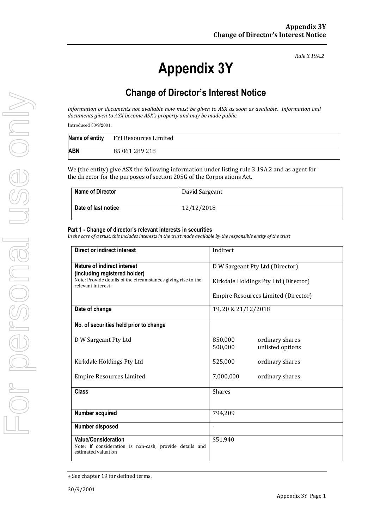# **Appendix 3Y**

*Rule 3.19A.2*

# **Change of Director's Interest Notice**

*Information or documents not available now must be given to ASX as soon as available. Information and documents given to ASX become ASX's property and may be made public.*

Introduced 30/9/2001.

|     | Name of entity FYI Resources Limited |
|-----|--------------------------------------|
| ABN | 85 061 289 218                       |

We (the entity) give ASX the following information under listing rule 3.19A.2 and as agent for the director for the purposes of section 205G of the Corporations Act.

| <b>Name of Director</b> | David Sargeant |
|-------------------------|----------------|
| Date of last notice     | 12/12/2018     |

#### **Part 1 - Change of director's relevant interests in securities**

*In the case of a trust, this includes interests in the trust made available by the responsible entity of the trust*

| Direct or indirect interest                                                                                  | Indirect                                                  |  |
|--------------------------------------------------------------------------------------------------------------|-----------------------------------------------------------|--|
| <b>Nature of indirect interest</b><br>(including registered holder)                                          | D W Sargeant Pty Ltd (Director)                           |  |
| Note: Provide details of the circumstances giving rise to the<br>relevant interest.                          | Kirkdale Holdings Pty Ltd (Director)                      |  |
|                                                                                                              | Empire Resources Limited (Director)                       |  |
| Date of change                                                                                               | 19, 20 & 21/12/2018                                       |  |
| No. of securities held prior to change                                                                       |                                                           |  |
| D W Sargeant Pty Ltd                                                                                         | 850,000<br>ordinary shares<br>500,000<br>unlisted options |  |
| Kirkdale Holdings Pty Ltd                                                                                    | 525,000<br>ordinary shares                                |  |
| <b>Empire Resources Limited</b>                                                                              | 7,000,000<br>ordinary shares                              |  |
| <b>Class</b>                                                                                                 | <b>Shares</b>                                             |  |
| Number acquired                                                                                              | 794,209                                                   |  |
| Number disposed                                                                                              |                                                           |  |
| <b>Value/Consideration</b><br>Note: If consideration is non-cash, provide details and<br>estimated valuation | \$51,940                                                  |  |

<sup>+</sup> See chapter 19 for defined terms.